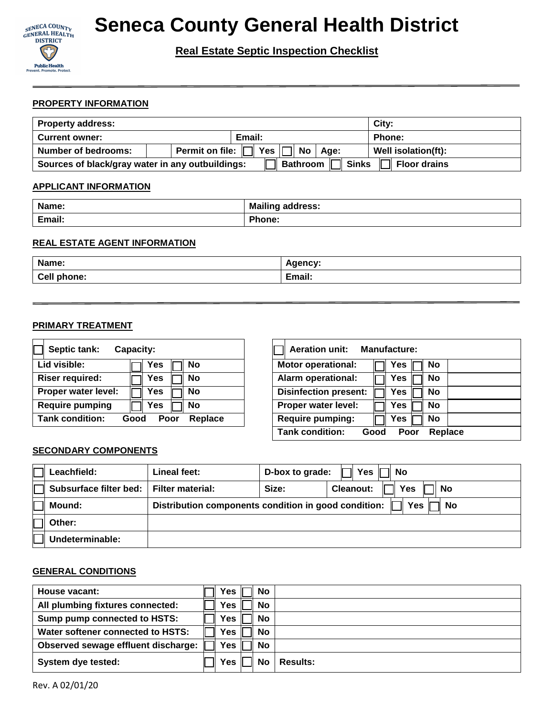

## **Seneca County General Health District**

### **Real Estate Septic Inspection Checklist**

#### **PROPERTY INFORMATION**

| City:<br><b>Property address:</b>                                                                    |                                                                                                          |                     |  |  |
|------------------------------------------------------------------------------------------------------|----------------------------------------------------------------------------------------------------------|---------------------|--|--|
| <b>Current owner:</b>                                                                                | Email:                                                                                                   | Phone:              |  |  |
| <b>Number of bedrooms:</b>                                                                           | $^\mathsf{!}$ Permit on file: $\left \Box\right $ Yes $\left \Box\right $ No $\left \Box\right $<br>Age: | Well isolation(ft): |  |  |
| <b>Bathroom</b>   Sinks<br>Sources of black/gray water in any outbuildings:<br><b>Ⅰ Floor drains</b> |                                                                                                          |                     |  |  |

#### **APPLICANT INFORMATION**

| Name:  | <b>Mailing address:</b> |
|--------|-------------------------|
| Email: | Phone:                  |
|        |                         |

#### **REAL ESTATE AGENT INFORMATION**

| Name:                                   | nency.                    |
|-----------------------------------------|---------------------------|
| $\mathsf{Call}$<br>phone:<br><b>CHT</b> | .<br><b>Email</b><br>нан. |

#### **PRIMARY TREATMENT**

| Septic tank:<br>Capacity: |              |           |  |  |
|---------------------------|--------------|-----------|--|--|
| Lid visible:              | Yes          | No        |  |  |
| <b>Riser required:</b>    | Yes          | No        |  |  |
| Proper water level:       | Yes          | <b>No</b> |  |  |
| <b>Require pumping</b>    | Yes          | <b>No</b> |  |  |
| Tank condition:           | Poor<br>Good | Replace   |  |  |

| <b>Aeration unit:</b><br><b>Manufacture:</b>      |                  |  |  |  |
|---------------------------------------------------|------------------|--|--|--|
| <b>Motor operational:</b>                         | Yes<br>No        |  |  |  |
| <b>Alarm operational:</b>                         | Yes<br><b>No</b> |  |  |  |
| <b>Disinfection present:</b>                      | Yes<br>No        |  |  |  |
| Proper water level:                               | Yes<br><b>No</b> |  |  |  |
| <b>Require pumping:</b>                           | Yes<br>No        |  |  |  |
| <b>Tank condition:</b><br>Replace<br>Good<br>Poor |                  |  |  |  |

#### **SECONDARY COMPONENTS**

| Leachfield:            | Lineal feet:                                                             | D-box to grade: | Yes<br>No                     |  |
|------------------------|--------------------------------------------------------------------------|-----------------|-------------------------------|--|
| Subsurface filter bed: | <b>Filter material:</b>                                                  | Size:           | <b>Cleanout:</b><br>Yes<br>No |  |
| Mound:                 | Distribution components condition in good condition:<br>Yes<br><b>No</b> |                 |                               |  |
| Other:                 |                                                                          |                 |                               |  |
| Undeterminable:        |                                                                          |                 |                               |  |

#### **GENERAL CONDITIONS**

| House vacant:                       | Yes | <b>No</b> |                 |
|-------------------------------------|-----|-----------|-----------------|
| All plumbing fixtures connected:    | Yes | <b>No</b> |                 |
| Sump pump connected to HSTS:        | Yes | <b>No</b> |                 |
| Water softener connected to HSTS:   | Yes | <b>No</b> |                 |
| Observed sewage effluent discharge: | Yes | <b>No</b> |                 |
| System dye tested:                  | Yes | No        | <b>Results:</b> |